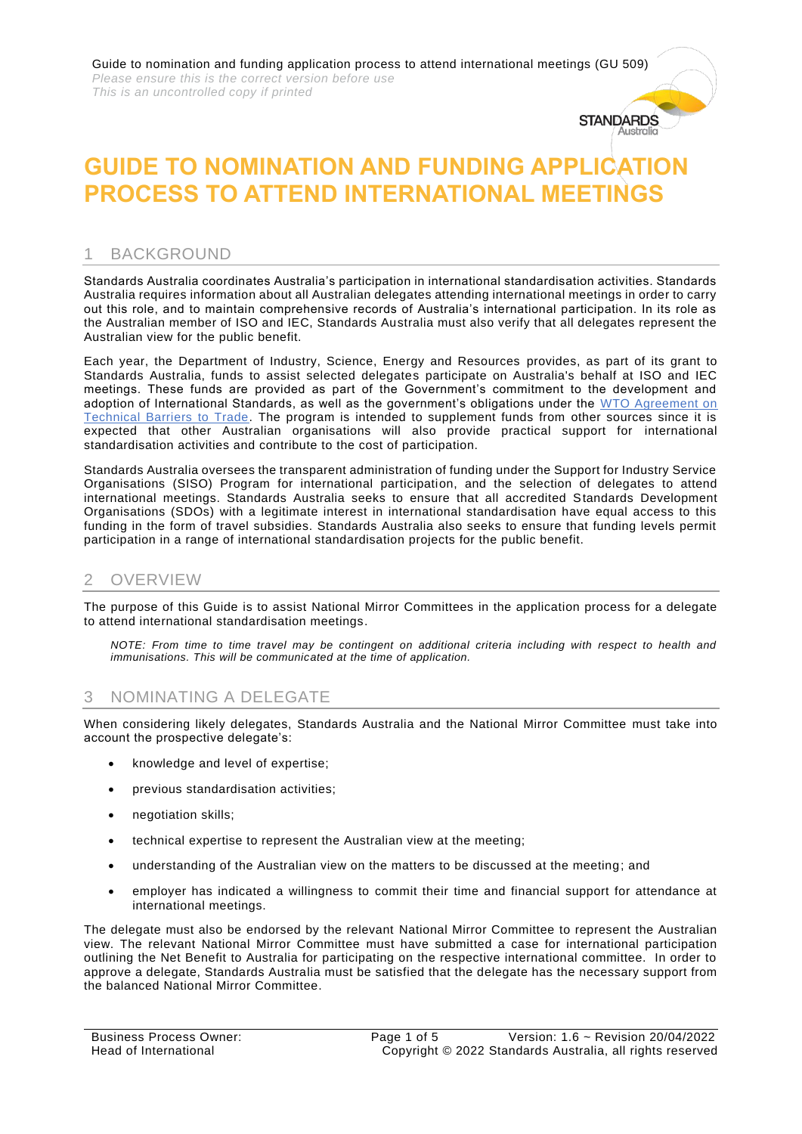Guide to nomination and funding application process to attend international meetings (GU 509) *Please ensure this is the correct version before use This is an uncontrolled copy if printed*

# **GUIDE TO NOMINATION AND FUNDING APPLICATION PROCESS TO ATTEND INTERNATIONAL MEETINGS**

**STANDARDS** Australi

# 1 BACKGROUND

Standards Australia coordinates Australia's participation in international standardisation activities. Standards Australia requires information about all Australian delegates attending international meetings in order to carry out this role, and to maintain comprehensive records of Australia's international participation. In its role as the Australian member of ISO and IEC, Standards Australia must also verify that all delegates represent the Australian view for the public benefit.

Each year, the Department of Industry, Science, Energy and Resources provides, as part of its grant to Standards Australia, funds to assist selected delegates participate on Australia's behalf at ISO and IEC meetings. These funds are provided as part of the Government's commitment to the development and adoption of International Standards, as well as the government's obligations under the WTO Agreement on [Technical Barriers to Trade.](https://www.wto.org/english/docs_e/legal_e/17-tbt_e.htm) The program is intended to supplement funds from other sources since it is expected that other Australian organisations will also provide practical support for international standardisation activities and contribute to the cost of participation.

Standards Australia oversees the transparent administration of funding under the Support for Industry Service Organisations (SISO) Program for international participation, and the selection of delegates to attend international meetings. Standards Australia seeks to ensure that all accredited Standards Development Organisations (SDOs) with a legitimate interest in international standardisation have equal access to this funding in the form of travel subsidies. Standards Australia also seeks to ensure that funding levels permit participation in a range of international standardisation projects for the public benefit.

# 2 OVERVIEW

The purpose of this Guide is to assist National Mirror Committees in the application process for a delegate to attend international standardisation meetings.

*NOTE: From time to time travel may be contingent on additional criteria including with respect to health and immunisations. This will be communicated at the time of application.*

## 3 NOMINATING A DELEGATE

When considering likely delegates, Standards Australia and the National Mirror Committee must take into account the prospective delegate's:

- knowledge and level of expertise;
- previous standardisation activities;
- negotiation skills;
- technical expertise to represent the Australian view at the meeting;
- understanding of the Australian view on the matters to be discussed at the meeting; and
- employer has indicated a willingness to commit their time and financial support for attendance at international meetings.

The delegate must also be endorsed by the relevant National Mirror Committee to represent the Australian view. The relevant National Mirror Committee must have submitted a case for international participation outlining the Net Benefit to Australia for participating on the respective international committee. In order to approve a delegate, Standards Australia must be satisfied that the delegate has the necessary support from the balanced National Mirror Committee.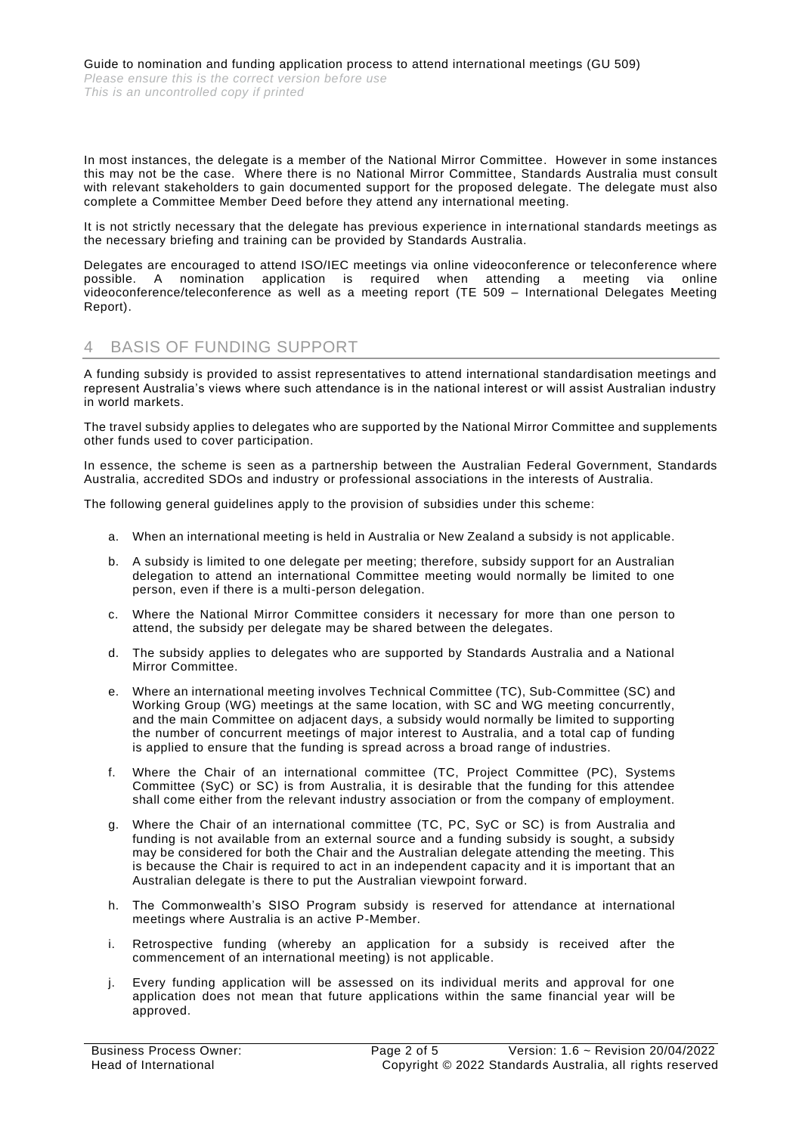In most instances, the delegate is a member of the National Mirror Committee. However in some instances this may not be the case. Where there is no National Mirror Committee, Standards Australia must consult with relevant stakeholders to gain documented support for the proposed delegate. The delegate must also complete a Committee Member Deed before they attend any international meeting.

It is not strictly necessary that the delegate has previous experience in international standards meetings as the necessary briefing and training can be provided by Standards Australia.

Delegates are encouraged to attend ISO/IEC meetings via online videoconference or teleconference where possible. A nomination application is required when attending a meeting via online videoconference/teleconference as well as a meeting report (TE 509 - International Delegates Meeting Report).

# 4 BASIS OF FUNDING SUPPORT

A funding subsidy is provided to assist representatives to attend international standardisation meetings and represent Australia's views where such attendance is in the national interest or will assist Australian industry in world markets.

The travel subsidy applies to delegates who are supported by the National Mirror Committee and supplements other funds used to cover participation.

In essence, the scheme is seen as a partnership between the Australian Federal Government, Standards Australia, accredited SDOs and industry or professional associations in the interests of Australia.

The following general guidelines apply to the provision of subsidies under this scheme:

- a. When an international meeting is held in Australia or New Zealand a subsidy is not applicable.
- b. A subsidy is limited to one delegate per meeting; therefore, subsidy support for an Australian delegation to attend an international Committee meeting would normally be limited to one person, even if there is a multi-person delegation.
- c. Where the National Mirror Committee considers it necessary for more than one person to attend, the subsidy per delegate may be shared between the delegates.
- d. The subsidy applies to delegates who are supported by Standards Australia and a National Mirror Committee.
- e. Where an international meeting involves Technical Committee (TC), Sub-Committee (SC) and Working Group (WG) meetings at the same location, with SC and WG meeting concurrently, and the main Committee on adjacent days, a subsidy would normally be limited to supporting the number of concurrent meetings of major interest to Australia, and a total cap of funding is applied to ensure that the funding is spread across a broad range of industries.
- f. Where the Chair of an international committee (TC, Project Committee (PC), Systems Committee (SyC) or SC) is from Australia, it is desirable that the funding for this attendee shall come either from the relevant industry association or from the company of employment.
- g. Where the Chair of an international committee (TC, PC, SyC or SC) is from Australia and funding is not available from an external source and a funding subsidy is sought, a subsidy may be considered for both the Chair and the Australian delegate attending the meeting. This is because the Chair is required to act in an independent capacity and it is important that an Australian delegate is there to put the Australian viewpoint forward.
- h. The Commonwealth's SISO Program subsidy is reserved for attendance at international meetings where Australia is an active P-Member.
- i. Retrospective funding (whereby an application for a subsidy is received after the commencement of an international meeting) is not applicable.
- j. Every funding application will be assessed on its individual merits and approval for one application does not mean that future applications within the same financial year will be approved.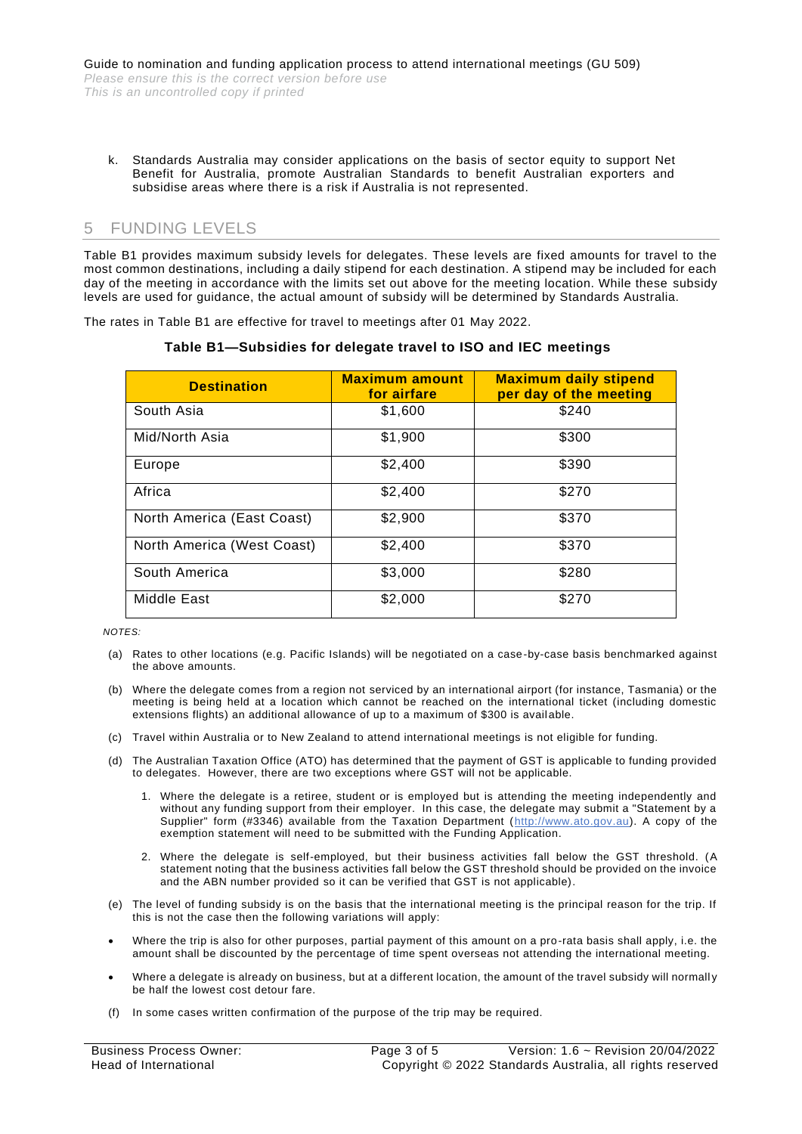k. Standards Australia may consider applications on the basis of sector equity to support Net Benefit for Australia, promote Australian Standards to benefit Australian exporters and subsidise areas where there is a risk if Australia is not represented.

# 5 FUNDING LEVELS

Table B1 provides maximum subsidy levels for delegates. These levels are fixed amounts for travel to the most common destinations, including a daily stipend for each destination. A stipend may be included for each day of the meeting in accordance with the limits set out above for the meeting location. While these subsidy levels are used for guidance, the actual amount of subsidy will be determined by Standards Australia.

The rates in Table B1 are effective for travel to meetings after 01 May 2022.

| <b>Destination</b>         | <b>Maximum amount</b><br>for airfare | <b>Maximum daily stipend</b><br>per day of the meeting |
|----------------------------|--------------------------------------|--------------------------------------------------------|
| South Asia                 | \$1,600                              | \$240                                                  |
| Mid/North Asia             | \$1,900                              | \$300                                                  |
| Europe                     | \$2,400                              | \$390                                                  |
| Africa                     | \$2,400                              | \$270                                                  |
| North America (East Coast) | \$2,900                              | \$370                                                  |
| North America (West Coast) | \$2,400                              | \$370                                                  |
| South America              | \$3,000                              | \$280                                                  |
| Middle East                | \$2,000                              | \$270                                                  |

#### **Table B1—Subsidies for delegate travel to ISO and IEC meetings**

*NOTES:*

- (a) Rates to other locations (e.g. Pacific Islands) will be negotiated on a case-by-case basis benchmarked against the above amounts.
- (b) Where the delegate comes from a region not serviced by an international airport (for instance, Tasmania) or the meeting is being held at a location which cannot be reached on the international ticket (including domestic extensions flights) an additional allowance of up to a maximum of \$300 is available.
- (c) Travel within Australia or to New Zealand to attend international meetings is not eligible for funding.
- (d) The Australian Taxation Office (ATO) has determined that the payment of GST is applicable to funding provided to delegates. However, there are two exceptions where GST will not be applicable.
	- 1. Where the delegate is a retiree, student or is employed but is attending the meeting independently and without any funding support from their employer. In this case, the delegate may submit a "Statement by a Supplier" form (#3346) available from the Taxation Department [\(http://www.ato.gov.au\)](http://www.ato.gov.au/). A copy of the exemption statement will need to be submitted with the Funding Application.
	- 2. Where the delegate is self-employed, but their business activities fall below the GST threshold. (A statement noting that the business activities fall below the GST threshold should be provided on the invoice and the ABN number provided so it can be verified that GST is not applicable).
- (e) The level of funding subsidy is on the basis that the international meeting is the principal reason for the trip. If this is not the case then the following variations will apply:
- Where the trip is also for other purposes, partial payment of this amount on a pro-rata basis shall apply, i.e. the amount shall be discounted by the percentage of time spent overseas not attending the international meeting.
- Where a delegate is already on business, but at a different location, the amount of the travel subsidy will normally be half the lowest cost detour fare.
- (f) In some cases written confirmation of the purpose of the trip may be required.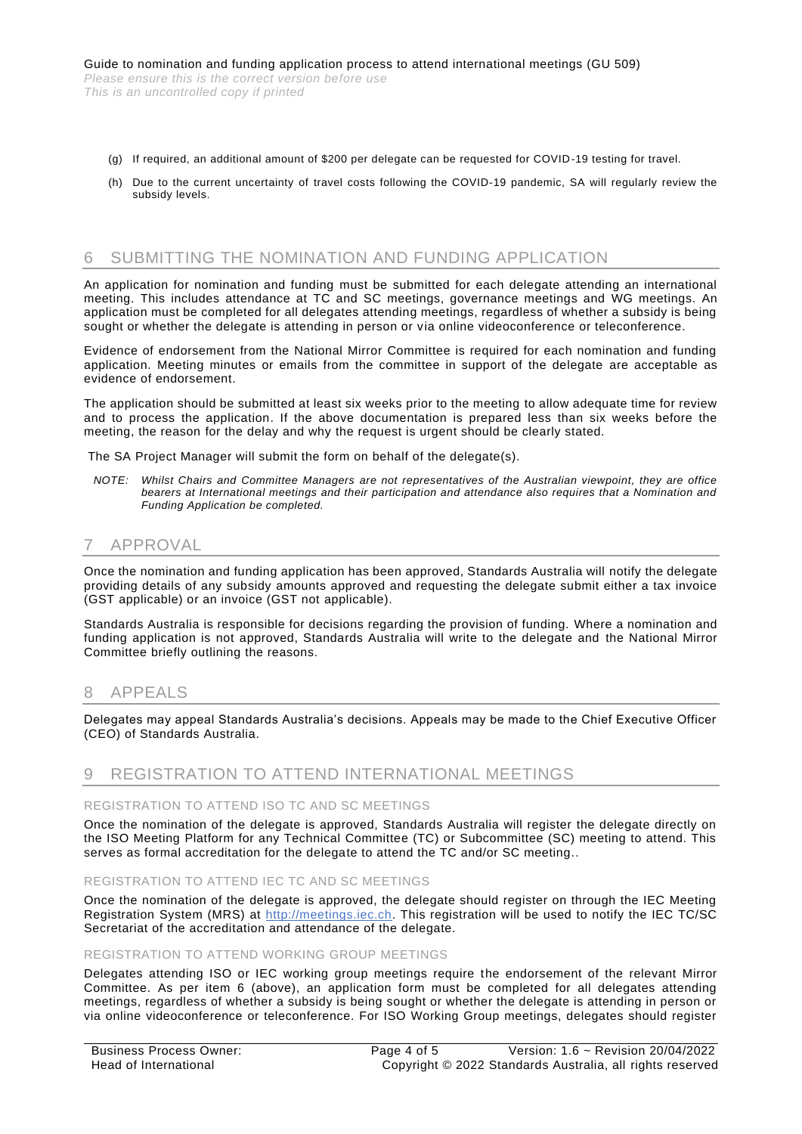- (g) If required, an additional amount of \$200 per delegate can be requested for COVID-19 testing for travel.
- (h) Due to the current uncertainty of travel costs following the COVID-19 pandemic, SA will regularly review the subsidy levels.

## 6 SUBMITTING THE NOMINATION AND FUNDING APPLICATION

An application for nomination and funding must be submitted for each delegate attending an international meeting. This includes attendance at TC and SC meetings, governance meetings and WG meetings. An application must be completed for all delegates attending meetings, regardless of whether a subsidy is being sought or whether the delegate is attending in person or via online videoconference or teleconference.

Evidence of endorsement from the National Mirror Committee is required for each nomination and funding application. Meeting minutes or emails from the committee in support of the delegate are acceptable as evidence of endorsement.

The application should be submitted at least six weeks prior to the meeting to allow adequate time for review and to process the application. If the above documentation is prepared less than six weeks before the meeting, the reason for the delay and why the request is urgent should be clearly stated.

The SA Project Manager will submit the form on behalf of the delegate(s).

*NOTE: Whilst Chairs and Committee Managers are not representatives of the Australian viewpoint, they are office bearers at International meetings and their participation and attendance also requires that a Nomination and Funding Application be completed.*

# **APPROVAL**

Once the nomination and funding application has been approved, Standards Australia will notify the delegate providing details of any subsidy amounts approved and requesting the delegate submit either a tax invoice (GST applicable) or an invoice (GST not applicable).

Standards Australia is responsible for decisions regarding the provision of funding. Where a nomination and funding application is not approved, Standards Australia will write to the delegate and the National Mirror Committee briefly outlining the reasons.

### 8 APPEALS

Delegates may appeal Standards Australia's decisions. Appeals may be made to the Chief Executive Officer (CEO) of Standards Australia.

# 9 REGISTRATION TO ATTEND INTERNATIONAL MEETINGS

#### REGISTRATION TO ATTEND ISO TC AND SC MEETINGS

Once the nomination of the delegate is approved, Standards Australia will register the delegate directly on the ISO Meeting Platform for any Technical Committee (TC) or Subcommittee (SC) meeting to attend. This serves as formal accreditation for the delegate to attend the TC and/or SC meeting..

#### REGISTRATION TO ATTEND IEC TC AND SC MEETINGS

Once the nomination of the delegate is approved, the delegate should register on through the IEC Meeting Registration System (MRS) at [http://meetings.iec.ch.](http://meetings.iec.ch/) This registration will be used to notify the IEC TC/SC Secretariat of the accreditation and attendance of the delegate.

#### REGISTRATION TO ATTEND WORKING GROUP MEETINGS

Delegates attending ISO or IEC working group meetings require the endorsement of the relevant Mirror Committee. As per item 6 (above), an application form must be completed for all delegates attending meetings, regardless of whether a subsidy is being sought or whether the delegate is attending in person or via online videoconference or teleconference. For ISO Working Group meetings, delegates should register